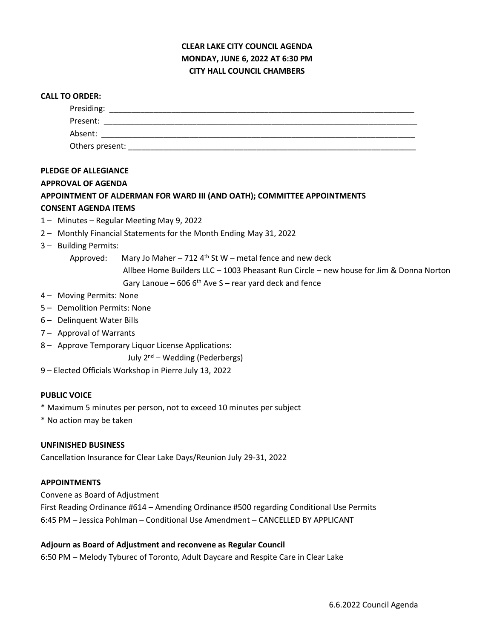# **CLEAR LAKE CITY COUNCIL AGENDA MONDAY, JUNE 6, 2022 AT 6:30 PM CITY HALL COUNCIL CHAMBERS**

#### **CALL TO ORDER:**

| Presiding:      |  |
|-----------------|--|
| Present:        |  |
| Absent:         |  |
| Others present: |  |

### **PLEDGE OF ALLEGIANCE**

#### **APPROVAL OF AGENDA**

### **APPOINTMENT OF ALDERMAN FOR WARD III (AND OATH); COMMITTEE APPOINTMENTS**

### **CONSENT AGENDA ITEMS**

- 1 Minutes Regular Meeting May 9, 2022
- 2 Monthly Financial Statements for the Month Ending May 31, 2022
- 3 Building Permits:
	- Approved: Mary Jo Maher 712  $4<sup>th</sup>$  St W metal fence and new deck
		- Allbee Home Builders LLC 1003 Pheasant Run Circle new house for Jim & Donna Norton Gary Lanoue – 606  $6<sup>th</sup>$  Ave S – rear yard deck and fence
- 4 Moving Permits: None
- 5 Demolition Permits: None
- 6 Delinquent Water Bills
- 7 Approval of Warrants
- 8 Approve Temporary Liquor License Applications:

July 2nd – Wedding (Pederbergs)

9 – Elected Officials Workshop in Pierre July 13, 2022

#### **PUBLIC VOICE**

- \* Maximum 5 minutes per person, not to exceed 10 minutes per subject
- \* No action may be taken

#### **UNFINISHED BUSINESS**

Cancellation Insurance for Clear Lake Days/Reunion July 29-31, 2022

#### **APPOINTMENTS**

Convene as Board of Adjustment

First Reading Ordinance #614 – Amending Ordinance #500 regarding Conditional Use Permits 6:45 PM – Jessica Pohlman – Conditional Use Amendment – CANCELLED BY APPLICANT

### **Adjourn as Board of Adjustment and reconvene as Regular Council**

6:50 PM – Melody Tyburec of Toronto, Adult Daycare and Respite Care in Clear Lake